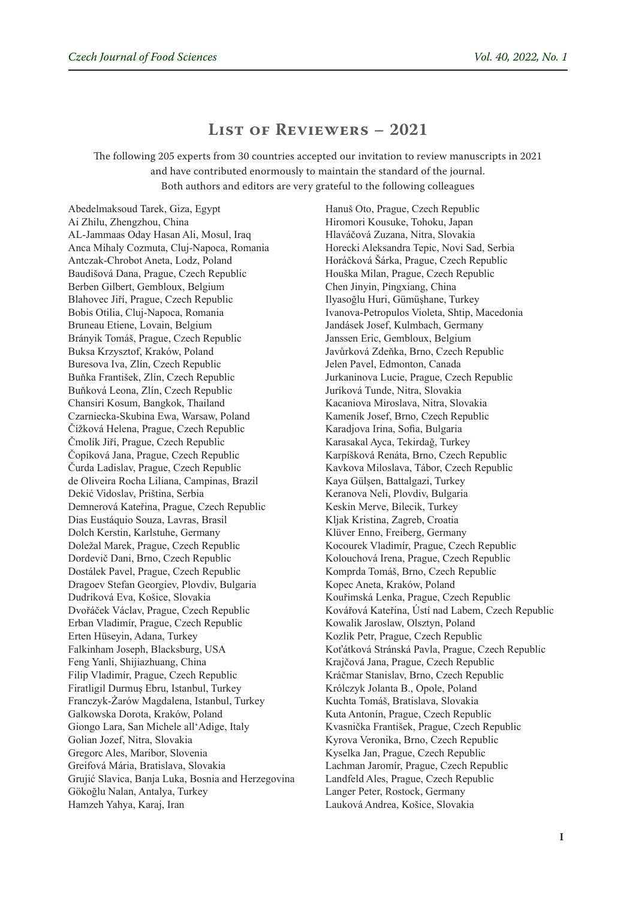## **List of Reviewers – 2021**

The following 205 experts from 30 countries accepted our invitation to review manuscripts in 2021 and have contributed enormously to maintain the standard of the journal. Both authors and editors are very grateful to the following colleagues

Abedelmaksoud Tarek, Giza, Egypt Ai Zhilu, Zhengzhou, China AL-Jammaas Oday Hasan Ali, Mosul, Iraq Anca Mihaly Cozmuta, Cluj-Napoca, Romania Antczak-Chrobot Aneta, Lodz, Poland Baudišová Dana, Prague, Czech Republic Berben Gilbert, Gembloux, Belgium Blahovec Jiří, Prague, Czech Republic Bobis Otilia, Cluj-Napoca, Romania Bruneau Etiene, Lovain, Belgium Brányik Tomáš, Prague, Czech Republic Buksa Krzysztof, Kraków, Poland Buresova Iva, Zlín, Czech Republic Buňka František, Zlín, Czech Republic Buňková Leona, Zlín, Czech Republic Chansiri Kosum, Bangkok, Thailand Czarniecka-Skubina Ewa, Warsaw, Poland Čížková Helena, Prague, Czech Republic Čmolík Jiří, Prague, Czech Republic Čopíková Jana, Prague, Czech Republic Čurda Ladislav, Prague, Czech Republic de Oliveira Rocha Liliana, Campinas, Brazil Dekić Vidoslav, Priština, Serbia Demnerová Kateřina, Prague, Czech Republic Dias Eustáquio Souza, Lavras, Brasil Dolch Kerstin, Karlstuhe, Germany Doležal Marek, Prague, Czech Republic Dordevič Dani, Brno, Czech Republic Dostálek Pavel, Prague, Czech Republic Dragoev Stefan Georgiev, Plovdiv, Bulgaria Dudriková Eva, Košice, Slovakia Dvořáček Václav, Prague, Czech Republic Erban Vladimír, Prague, Czech Republic Erten Hüseyin, Adana, Turkey Falkinham Joseph, Blacksburg, USA Feng Yanli, Shijiazhuang, China Filip Vladimír, Prague, Czech Republic Firatligil Durmuş Ebru, Istanbul, Turkey Franczyk-Żarów Magdalena, Istanbul, Turkey Galkowska Dorota, Kraków, Poland Giongo Lara, San Michele all'Adige, Italy Golian Jozef, Nitra, Slovakia Gregorc Ales, Maribor, Slovenia Greifová Mária, Bratislava, Slovakia Grujić Slavica, Banja Luka, Bosnia and Herzegovina Gökoğlu Nalan, Antalya, Turkey Hamzeh Yahya, Karaj, Iran

Hanuš Oto, Prague, Czech Republic Hiromori Kousuke, Tohoku, Japan Hlaváčová Zuzana, Nitra, Slovakia Horecki Aleksandra Tepic, Novi Sad, Serbia Horáčková Šárka, Prague, Czech Republic Houška Milan, Prague, Czech Republic Chen Jinyin, Pingxiang, China Ilyasoğlu Huri, Gümüşhane, Turkey Ivanova-Petropulos Violeta, Shtip, Macedonia Jandásek Josef, Kulmbach, Germany Janssen Eric, Gembloux, Belgium Javůrková Zdeňka, Brno, Czech Republic Jelen Pavel, Edmonton, Canada Jurkaninova Lucie, Prague, Czech Republic Juríková Tunde, Nitra, Slovakia Kacaniova Miroslava, Nitra, Slovakia Kameník Josef, Brno, Czech Republic Karadjova Irina, Sofia, Bulgaria Karasakal Ayca, Tekirdağ, Turkey Karpíšková Renáta, Brno, Czech Republic Kavkova Miloslava, Tábor, Czech Republic Kaya Gülşen, Battalgazi, Turkey Keranova Neli, Plovdiv, Bulgaria Keskin Merve, Bilecik, Turkey Kljak Kristina, Zagreb, Croatia Klüver Enno, Freiberg, Germany Kocourek Vladimír, Prague, Czech Republic Kolouchová Irena, Prague, Czech Republic Komprda Tomáš, Brno, Czech Republic Kopec Aneta, Kraków, Poland Kouřimská Lenka, Prague, Czech Republic Kovářová Kateřina, Ústí nad Labem, Czech Republic Kowalik Jaroslaw, Olsztyn, Poland Kozlik Petr, Prague, Czech Republic Koťátková Stránská Pavla, Prague, Czech Republic Krajčová Jana, Prague, Czech Republic Kráčmar Stanislav, Brno, Czech Republic Królczyk Jolanta B., Opole, Poland Kuchta Tomáš, Bratislava, Slovakia Kuta Antonín, Prague, Czech Republic Kvasnička František, Prague, Czech Republic Kyrova Veronika, Brno, Czech Republic Kyselka Jan, Prague, Czech Republic Lachman Jaromír, Prague, Czech Republic Landfeld Ales, Prague, Czech Republic Langer Peter, Rostock, Germany Lauková Andrea, Košice, Slovakia